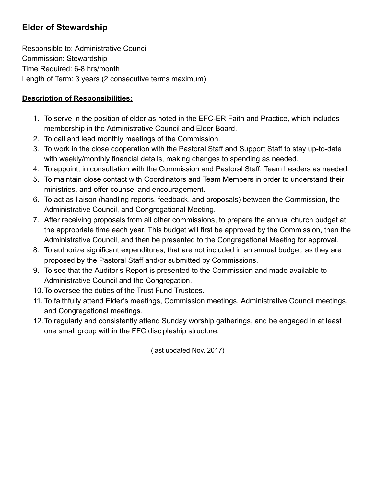# Elder of Stewardship

Responsible to: Administrative Council Commission: Stewardship Time Required: 6-8 hrs/month Length of Term: 3 years (2 consecutive terms maximum)

#### Description of Responsibilities:

- 1. To serve in the position of elder as noted in the EFC-ER Faith and Practice, which includes membership in the Administrative Council and Elder Board.
- 2. To call and lead monthly meetings of the Commission.
- 3. To work in the close cooperation with the Pastoral Staff and Support Staff to stay up-to-date with weekly/monthly financial details, making changes to spending as needed.
- 4. To appoint, in consultation with the Commission and Pastoral Staff, Team Leaders as needed.
- 5. To maintain close contact with Coordinators and Team Members in order to understand their ministries, and offer counsel and encouragement.
- 6. To act as liaison (handling reports, feedback, and proposals) between the Commission, the Administrative Council, and Congregational Meeting.
- 7. After receiving proposals from all other commissions, to prepare the annual church budget at the appropriate time each year. This budget will first be approved by the Commission, then the Administrative Council, and then be presented to the Congregational Meeting for approval.
- 8. To authorize significant expenditures, that are not included in an annual budget, as they are proposed by the Pastoral Staff and/or submitted by Commissions.
- 9. To see that the Auditor's Report is presented to the Commission and made available to Administrative Council and the Congregation.
- 10.To oversee the duties of the Trust Fund Trustees.
- 11. To faithfully attend Elder's meetings, Commission meetings, Administrative Council meetings, and Congregational meetings.
- 12.To regularly and consistently attend Sunday worship gatherings, and be engaged in at least one small group within the FFC discipleship structure.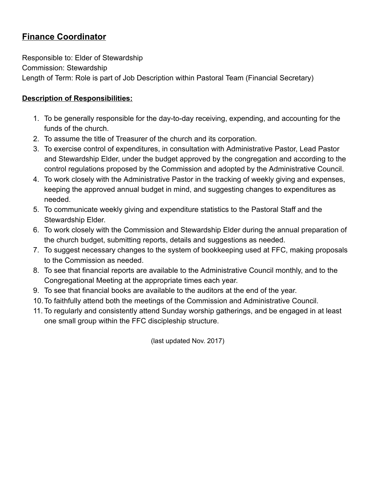## Finance Coordinator

Responsible to: Elder of Stewardship Commission: Stewardship Length of Term: Role is part of Job Description within Pastoral Team (Financial Secretary)

#### Description of Responsibilities:

- 1. To be generally responsible for the day-to-day receiving, expending, and accounting for the funds of the church.
- 2. To assume the title of Treasurer of the church and its corporation.
- 3. To exercise control of expenditures, in consultation with Administrative Pastor, Lead Pastor and Stewardship Elder, under the budget approved by the congregation and according to the control regulations proposed by the Commission and adopted by the Administrative Council.
- 4. To work closely with the Administrative Pastor in the tracking of weekly giving and expenses, keeping the approved annual budget in mind, and suggesting changes to expenditures as needed.
- 5. To communicate weekly giving and expenditure statistics to the Pastoral Staff and the Stewardship Elder.
- 6. To work closely with the Commission and Stewardship Elder during the annual preparation of the church budget, submitting reports, details and suggestions as needed.
- 7. To suggest necessary changes to the system of bookkeeping used at FFC, making proposals to the Commission as needed.
- 8. To see that financial reports are available to the Administrative Council monthly, and to the Congregational Meeting at the appropriate times each year.
- 9. To see that financial books are available to the auditors at the end of the year.
- 10.To faithfully attend both the meetings of the Commission and Administrative Council.
- 11. To regularly and consistently attend Sunday worship gatherings, and be engaged in at least one small group within the FFC discipleship structure.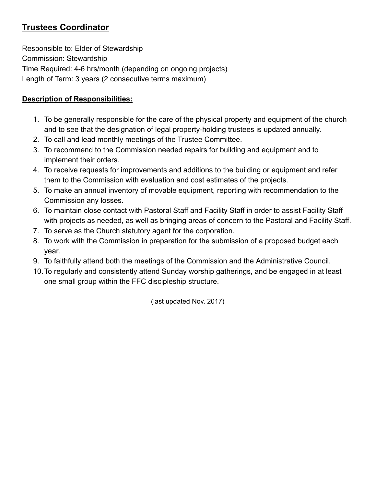## Trustees Coordinator

Responsible to: Elder of Stewardship Commission: Stewardship Time Required: 4-6 hrs/month (depending on ongoing projects) Length of Term: 3 years (2 consecutive terms maximum)

### Description of Responsibilities:

- 1. To be generally responsible for the care of the physical property and equipment of the church and to see that the designation of legal property-holding trustees is updated annually.
- 2. To call and lead monthly meetings of the Trustee Committee.
- 3. To recommend to the Commission needed repairs for building and equipment and to implement their orders.
- 4. To receive requests for improvements and additions to the building or equipment and refer them to the Commission with evaluation and cost estimates of the projects.
- 5. To make an annual inventory of movable equipment, reporting with recommendation to the Commission any losses.
- 6. To maintain close contact with Pastoral Staff and Facility Staff in order to assist Facility Staff with projects as needed, as well as bringing areas of concern to the Pastoral and Facility Staff.
- 7. To serve as the Church statutory agent for the corporation.
- 8. To work with the Commission in preparation for the submission of a proposed budget each year.
- 9. To faithfully attend both the meetings of the Commission and the Administrative Council.
- 10.To regularly and consistently attend Sunday worship gatherings, and be engaged in at least one small group within the FFC discipleship structure.